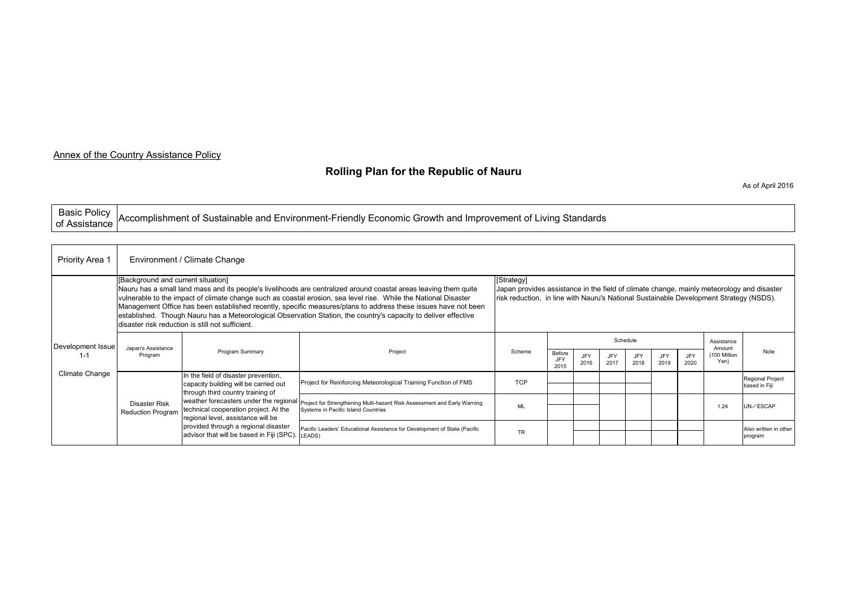## Annex of the Country Assistance Policy

## **Rolling Plan for the Republic of Nauru**

As of April 2016

| Basic Policy<br>of Assistance Accomplishment of Sustainable and Environment-Friendly Economic Growth and Improvement of Living Standards |
|------------------------------------------------------------------------------------------------------------------------------------------|
|                                                                                                                                          |

| <b>Priority Area 1</b>              | Environment / Climate Change                                                                                                                                                                                                                                                                                                                                                                                                                                                                                                                                       |                                                                                                                                                                                                                                                                                       |                                                                                                                                                        |            |                                                                                                                                                                                                   |             |             |                    |             |                    |                     |                                          |  |  |
|-------------------------------------|--------------------------------------------------------------------------------------------------------------------------------------------------------------------------------------------------------------------------------------------------------------------------------------------------------------------------------------------------------------------------------------------------------------------------------------------------------------------------------------------------------------------------------------------------------------------|---------------------------------------------------------------------------------------------------------------------------------------------------------------------------------------------------------------------------------------------------------------------------------------|--------------------------------------------------------------------------------------------------------------------------------------------------------|------------|---------------------------------------------------------------------------------------------------------------------------------------------------------------------------------------------------|-------------|-------------|--------------------|-------------|--------------------|---------------------|------------------------------------------|--|--|
|                                     | [Background and current situation]<br>Nauru has a small land mass and its people's livelihoods are centralized around coastal areas leaving them quite<br>vulnerable to the impact of climate change such as coastal erosion, sea level rise. While the National Disaster<br>Management Office has been established recently, specific measures/plans to address these issues have not been<br>established. Though Nauru has a Meteorological Observation Station, the country's capacity to deliver effective<br>disaster risk reduction is still not sufficient. |                                                                                                                                                                                                                                                                                       |                                                                                                                                                        |            | [Strategy]<br>Japan provides assistance in the field of climate change, mainly meteorology and disaster<br>risk reduction, in line with Nauru's National Sustainable Development Strategy (NSDS). |             |             |                    |             |                    |                     |                                          |  |  |
| Development Issue<br>Climate Change | Japan's Assistance<br>Program                                                                                                                                                                                                                                                                                                                                                                                                                                                                                                                                      | Program Summary                                                                                                                                                                                                                                                                       | Project                                                                                                                                                | Scheme     | Schedule<br>Assistance<br>Amount                                                                                                                                                                  |             |             |                    |             |                    |                     |                                          |  |  |
|                                     |                                                                                                                                                                                                                                                                                                                                                                                                                                                                                                                                                                    |                                                                                                                                                                                                                                                                                       |                                                                                                                                                        |            | Before<br>JFY<br>2015                                                                                                                                                                             | JFY<br>2016 | JFY<br>2017 | <b>JFY</b><br>2018 | JFY<br>2019 | <b>JFY</b><br>2020 | 100 Million<br>Yen) | Note                                     |  |  |
|                                     | Disaster Risk<br><b>Reduction Program</b>                                                                                                                                                                                                                                                                                                                                                                                                                                                                                                                          | n the field of disaster prevention,<br>capacity building will be carried out<br>through third country training of<br>technical cooperation project. At the<br>regional level, assistance will be<br>provided through a regional disaster<br>advisor that will be based in Fiji (SPC). | Project for Reinforcing Meteorological Training Function of FMS                                                                                        | <b>TCP</b> |                                                                                                                                                                                                   |             |             |                    |             |                    |                     | <b>Regional Project</b><br>based in Fiji |  |  |
|                                     |                                                                                                                                                                                                                                                                                                                                                                                                                                                                                                                                                                    |                                                                                                                                                                                                                                                                                       | weather forecasters under the regional Project for Strengthening Multi-hazard Risk Assessment and Early Warning<br>Systems in Pacific Island Countries | <b>ML</b>  |                                                                                                                                                                                                   |             |             |                    |             |                    | 1.24                | UN/ESCAP                                 |  |  |
|                                     |                                                                                                                                                                                                                                                                                                                                                                                                                                                                                                                                                                    |                                                                                                                                                                                                                                                                                       | Pacific Leaders' Educational Assistance for Development of State (Pacific<br>LEADS)                                                                    | <b>TR</b>  |                                                                                                                                                                                                   |             |             |                    |             |                    |                     | Also written in other<br>program         |  |  |